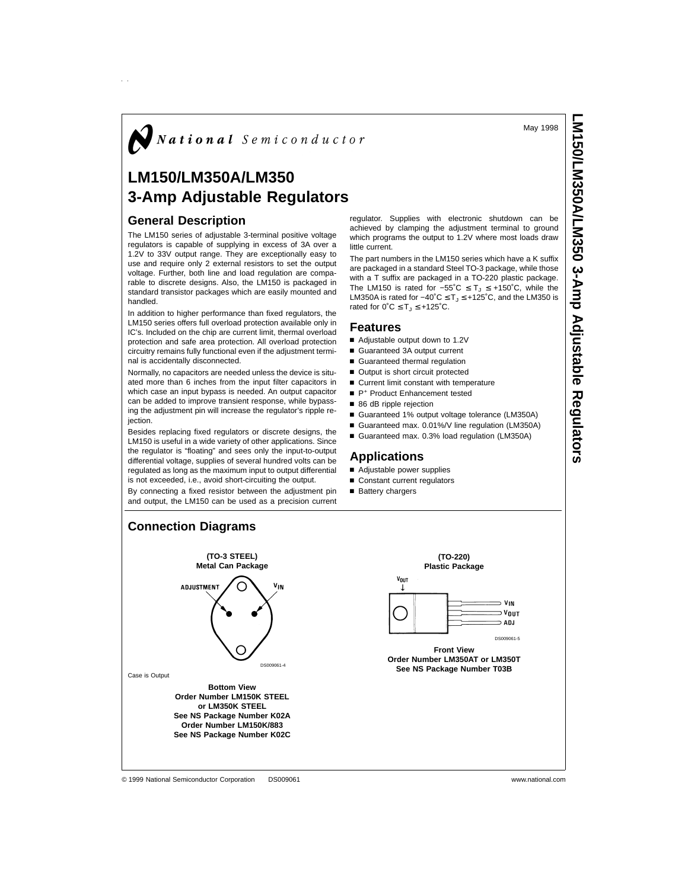May 1998

# $\boldsymbol{J}$  National Semiconductor

## **LM150/LM350A/LM350 3-Amp Adjustable Regulators**

## **General Description**

The LM150 series of adjustable 3-terminal positive voltage regulators is capable of supplying in excess of 3A over a 1.2V to 33V output range. They are exceptionally easy to use and require only 2 external resistors to set the output voltage. Further, both line and load regulation are comparable to discrete designs. Also, the LM150 is packaged in standard transistor packages which are easily mounted and handled.

In addition to higher performance than fixed regulators, the LM150 series offers full overload protection available only in IC's. Included on the chip are current limit, thermal overload protection and safe area protection. All overload protection circuitry remains fully functional even if the adjustment terminal is accidentally disconnected.

Normally, no capacitors are needed unless the device is situated more than 6 inches from the input filter capacitors in which case an input bypass is needed. An output capacitor can be added to improve transient response, while bypassing the adjustment pin will increase the regulator's ripple rejection.

Besides replacing fixed regulators or discrete designs, the LM150 is useful in a wide variety of other applications. Since the regulator is "floating" and sees only the input-to-output differential voltage, supplies of several hundred volts can be regulated as long as the maximum input to output differential is not exceeded, i.e., avoid short-circuiting the output.

By connecting a fixed resistor between the adjustment pin and output, the LM150 can be used as a precision current

regulator. Supplies with electronic shutdown can be achieved by clamping the adjustment terminal to ground which programs the output to 1.2V where most loads draw little current.

The part numbers in the LM150 series which have a K suffix are packaged in a standard Steel TO-3 package, while those with a T suffix are packaged in a TO-220 plastic package. The LM150 is rated for  $-55^{\circ}C \leq T \leq +150^{\circ}C$ , while the LM350A is rated for  $-40^{\circ}C \leq T_J \leq +125^{\circ}C$ , and the LM350 is rated for  $0^{\circ}C \leq T_J \leq +125^{\circ}C$ .

### **Features**

- Adjustable output down to 1.2V
- Guaranteed 3A output current
- Guaranteed thermal regulation
- Output is short circuit protected
- $\blacksquare$  Current limit constant with temperature
- P<sup>+</sup> Product Enhancement tested
- 86 dB ripple rejection
- Guaranteed 1% output voltage tolerance (LM350A)
- Guaranteed max. 0.01%/V line regulation (LM350A)
- Guaranteed max. 0.3% load regulation (LM350A)

## **Applications**

- Adjustable power supplies
- Constant current regulators
- Battery chargers



#### © 1999 National Semiconductor Corporation DS009061 www.national.com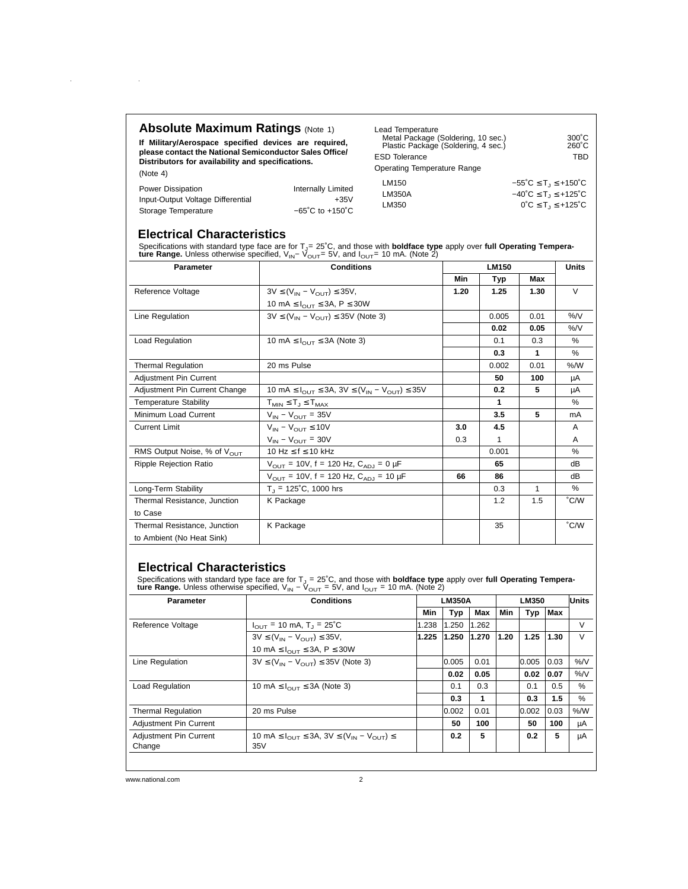## **Absolute Maximum Ratings (Note 1)**

 $\sim 10^{11}$ 

 $\alpha$ 

**If Military/Aerospace specified devices are required, please contact the National Semiconductor Sales Office/ Distributors for availability and specifications.** (Note 4)

| Lead Temperature<br>Metal Package (Soldering, 10 sec.)<br>Plastic Package (Soldering, 4 sec.)<br><b>ESD Tolerance</b><br>Operating Temperature Range | $300^{\circ}$ C<br>$260^{\circ}$ C<br>TBD                      |
|------------------------------------------------------------------------------------------------------------------------------------------------------|----------------------------------------------------------------|
| LM150                                                                                                                                                | $-55^{\circ}$ C $\leq$ T <sub>1</sub> $\leq$ +150 $^{\circ}$ C |
| LM350A                                                                                                                                               | $-40^{\circ}$ C $\leq$ T <sub>1</sub> $\leq$ +125 $^{\circ}$ C |
| LM350                                                                                                                                                | $0^{\circ}C \leq T_1 \leq +125^{\circ}C$                       |

| Power Dissipation                 | Internally Limited                   |  |
|-----------------------------------|--------------------------------------|--|
| Input-Output Voltage Differential | +35V                                 |  |
| Storage Temperature               | $-65^{\circ}$ C to +150 $^{\circ}$ C |  |

## **Electrical Characteristics**

Specifications with standard type face are for T<sub>J</sub>= 25˚C, and those with **boldface type** apply over f**ull Operating Tempera-**<br>**ture Range.** Unless otherwise specified, V<sub>IN</sub>− V<sub>OUT</sub>= 5V, and I<sub>OUT</sub>= 10 mA. (Note 2)

| <b>Parameter</b>                        | <b>Conditions</b>                                                                                     | <b>LM150</b> |       |      | <b>Units</b>  |  |
|-----------------------------------------|-------------------------------------------------------------------------------------------------------|--------------|-------|------|---------------|--|
|                                         |                                                                                                       | <b>Min</b>   | Typ   | Max  |               |  |
| Reference Voltage                       | $3V \leq (V_{IN} - V_{OUT}) \leq 35V$                                                                 | 1.20         | 1.25  | 1.30 | $\vee$        |  |
|                                         | 10 mA $\leq$ $I_{\text{OUT}}$ $\leq$ 3A, P $\leq$ 30W                                                 |              |       |      |               |  |
| Line Regulation                         | $3V \leq (V_{IN} - V_{OUT}) \leq 35V$ (Note 3)                                                        |              | 0.005 | 0.01 | %N            |  |
|                                         |                                                                                                       |              | 0.02  | 0.05 | %N            |  |
| Load Regulation                         | 10 mA $\leq$ $I_{\text{OUT}} \leq$ 3A (Note 3)                                                        |              | 0.1   | 0.3  | %             |  |
|                                         |                                                                                                       |              | 0.3   | 1    | %             |  |
| <b>Thermal Regulation</b>               | 20 ms Pulse                                                                                           |              | 0.002 | 0.01 | % /W          |  |
| Adjustment Pin Current                  |                                                                                                       |              | 50    | 100  | μA            |  |
| Adjustment Pin Current Change           | 10 mA $\leq$ $I_{\text{OUT}}$ $\leq$ 3A, 3V $\leq$ (V <sub>IN</sub> $-$ V <sub>OUT</sub> ) $\leq$ 35V |              | 0.2   | 5    | μA            |  |
| <b>Temperature Stability</b>            | $T_{MIN} \leq T_J \leq T_{MAX}$                                                                       |              | 1     |      | %             |  |
| Minimum Load Current                    | $V_{IN} - V_{OUT} = 35V$                                                                              |              | 3.5   | 5    | mA            |  |
| <b>Current Limit</b>                    | $V_{IN} - V_{OUIT} \le 10V$                                                                           | 3.0          | 4.5   |      | A             |  |
|                                         | $V_{IN} - V_{OUT} = 30V$                                                                              | 0.3          | 1     |      | A             |  |
| RMS Output Noise, % of $V_{\text{OUT}}$ | 10 Hz $\leq$ f $\leq$ 10 kHz                                                                          |              | 0.001 |      | $\%$          |  |
| <b>Ripple Rejection Ratio</b>           | $V_{\text{OUT}}$ = 10V, f = 120 Hz, $C_{\text{AD,I}}$ = 0 µF                                          |              | 65    |      | dB            |  |
|                                         | $V_{\text{OUT}}$ = 10V, f = 120 Hz, $C_{\text{AD,I}}$ = 10 µF                                         | 66           | 86    |      | dB            |  |
| Long-Term Stability                     | $T_{\parallel}$ = 125°C, 1000 hrs                                                                     |              | 0.3   | 1    | $\%$          |  |
| Thermal Resistance, Junction            | K Package                                                                                             |              | 1.2   | 1.5  | $\degree$ C/W |  |
| to Case                                 |                                                                                                       |              |       |      |               |  |
| Thermal Resistance, Junction            | K Package                                                                                             |              | 35    |      | $\degree$ C/W |  |
| to Ambient (No Heat Sink)               |                                                                                                       |              |       |      |               |  |

## **Electrical Characteristics**

Specifications with standard type face are for T<sub>J</sub> = 25°C, and those with **boldface type** apply over f**ull Operating Tempera-**<br>t**ure Range.** Unless otherwise specified, V<sub>IN</sub> – V<sub>OUT</sub> = 5V, and I<sub>OUT</sub> = 10 mA. (Note 2)

| <b>Parameter</b>          | <b>Conditions</b>                                                                                 | <b>LM350A</b> |       |       |      | Units |      |        |
|---------------------------|---------------------------------------------------------------------------------------------------|---------------|-------|-------|------|-------|------|--------|
|                           |                                                                                                   | Min           | Typ   | Max   | Min  | Typ   | Max  |        |
| Reference Voltage         | $I_{\text{OUT}}$ = 10 mA, T <sub>J</sub> = 25°C                                                   | 1.238         | 1.250 | 1.262 |      |       |      | V      |
|                           | $3V \leq (V_{IN} - V_{OUT}) \leq 35V$ ,                                                           | 1.225         | 1.250 | 1.270 | 1.20 | 1.25  | 1.30 | $\vee$ |
|                           | 10 mA $\leq$ $I_{\text{OUT}} \leq$ 3A, P $\leq$ 30W                                               |               |       |       |      |       |      |        |
| Line Regulation           | $3V \leq (V_{IN} - V_{OUT}) \leq 35V$ (Note 3)                                                    |               | 0.005 | 0.01  |      | 0.005 | 0.03 | $%$ /V |
|                           |                                                                                                   |               | 0.02  | 0.05  |      | 0.02  | 0.07 | $%$ /V |
| Load Regulation           | 10 mA $\leq$ $I_{\text{OUT}} \leq$ 3A (Note 3)                                                    |               | 0.1   | 0.3   |      | 0.1   | 0.5  | %      |
|                           |                                                                                                   |               | 0.3   | 1     |      | 0.3   | 1.5  | %      |
| <b>Thermal Regulation</b> | 20 ms Pulse                                                                                       |               | 0.002 | 0.01  |      | 0.002 | 0.03 | % /W   |
| Adjustment Pin Current    |                                                                                                   |               | 50    | 100   |      | 50    | 100  | μA     |
| Adjustment Pin Current    | 10 mA $\leq$ $I_{\text{OUT}}$ $\leq$ 3A, 3V $\leq$ (V <sub>IN</sub> $-$ V <sub>OUT</sub> ) $\leq$ |               | 0.2   | 5     |      | 0.2   | 5    | μA     |
| Change                    | 35V                                                                                               |               |       |       |      |       |      |        |
|                           |                                                                                                   |               |       |       |      |       |      |        |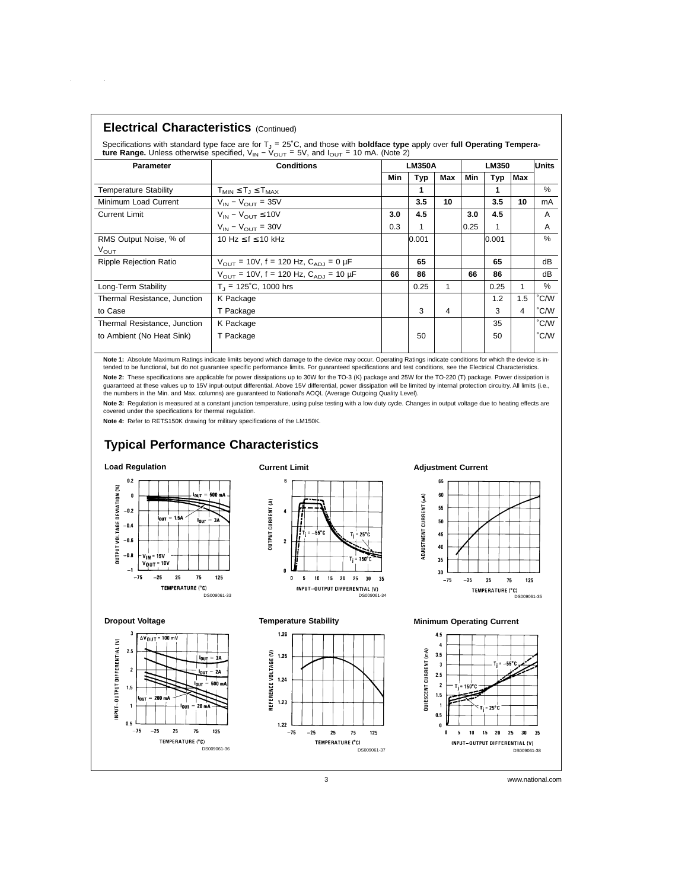|  | <b>Electrical Characteristics (Continued)</b> |  |
|--|-----------------------------------------------|--|
|--|-----------------------------------------------|--|

 $\sim 10$ 

 $\mathcal{L}^{\text{max}}$ 

Specifications with standard type face are for T<sub>J</sub> = 25°C, and those with **boldface type** apply over f**ull Operating Tempera-**<br>**ture Range.** Unless otherwise specified, V<sub>IN</sub> – V<sub>OUT</sub> = 5V, and I<sub>OUT</sub> = 10 mA. (Note 2)

| <b>Parameter</b>             | <b>Conditions</b>                                           |     | <b>LM350A</b> |     |            | <b>LM350</b> |            |      |
|------------------------------|-------------------------------------------------------------|-----|---------------|-----|------------|--------------|------------|------|
|                              |                                                             | Min | Typ           | Max | <b>Min</b> | Typ          | <b>Max</b> |      |
| <b>Temperature Stability</b> | $T_{MIN} \leq T_J \leq T_{MAX}$                             |     | 1             |     |            |              |            | %    |
| Minimum Load Current         | $V_{IN} - V_{OUT} = 35V$                                    |     | 3.5           | 10  |            | 3.5          | 10         | mA   |
| <b>Current Limit</b>         | $V_{IN} - V_{OUT} \leq 10V$                                 | 3.0 | 4.5           |     | 3.0        | 4.5          |            | A    |
|                              | $V_{IN} - V_{OIII} = 30V$                                   | 0.3 | 1             |     | 0.25       |              |            | A    |
| RMS Output Noise, % of       | 10 Hz $\leq$ f $\leq$ 10 kHz                                |     | 0.001         |     |            | 0.001        |            | $\%$ |
| $V_{\text{OUT}}$             |                                                             |     |               |     |            |              |            |      |
| Ripple Rejection Ratio       | $V_{\text{OUT}}$ = 10V, f = 120 Hz, $C_{\text{AD}}$ = 0 µF  |     | 65            |     |            | 65           |            | dB   |
|                              | $V_{\text{OUT}}$ = 10V, f = 120 Hz, $C_{\text{AD}}$ = 10 µF | 66  | 86            |     | 66         | 86           |            | dB   |
| Long-Term Stability          | $T_1 = 125^{\circ}C$ , 1000 hrs                             |     | 0.25          | 1   |            | 0.25         |            | $\%$ |
| Thermal Resistance, Junction | K Package                                                   |     |               |     |            | 1.2          | 1.5        | °C/W |
| to Case                      | T Package                                                   |     | 3             | 4   |            | 3            | 4          | °C/W |
| Thermal Resistance, Junction | K Package                                                   |     |               |     |            | 35           |            | °C/W |
| to Ambient (No Heat Sink)    | T Package                                                   |     | 50            |     |            | 50           |            | °C/W |
|                              |                                                             |     |               |     |            |              |            |      |

**Note 1:** Absolute Maximum Ratings indicate limits beyond which damage to the device may occur. Operating Ratings indicate conditions for which the device is in-<br>tended to be functional, but do not guarantee specific perfo **Note 2:** These specifications are applicable for power dissipations up to 30W for the TO-3 (K) package and 25W for the TO-220 (T) package. Power dissipation is<br>guaranteed at these values up to 15V input-output differentia the numbers in the Min. and Max. columns) are guaranteed to National's AOQL (Average Outgoing Quality Level).

Note 3: Regulation is measured at a constant junction temperature, using pulse testing with a low duty cycle. Changes in output voltage due to heating effects are covered under the specifications for thermal regulation.

**Note 4:** Refer to RETS150K drawing for military specifications of the LM150K.

## **Typical Performance Characteristics**

DS009061-36

**lou**T 3A

20

TEMPERATURE (°C)

 $= 2A$ OUT

.<br>- 500 m .<br>Init

### **Load Regulation**

**Dropout Voltage**

 $2.5$ 

 $\overline{\mathbf{c}}$ 

 $1.5$ 

 $\mathbf{0.5}$ 

 $-75$  $\bf -25$ 25 75 125

INPUT-OUTPUT DIFFERENTIAL (V)

 $\Delta V_{\text{OUT}}$  $100 m$ 





**Temperature Stability**



**Adjustment Current**



#### **Minimum Operating Current**

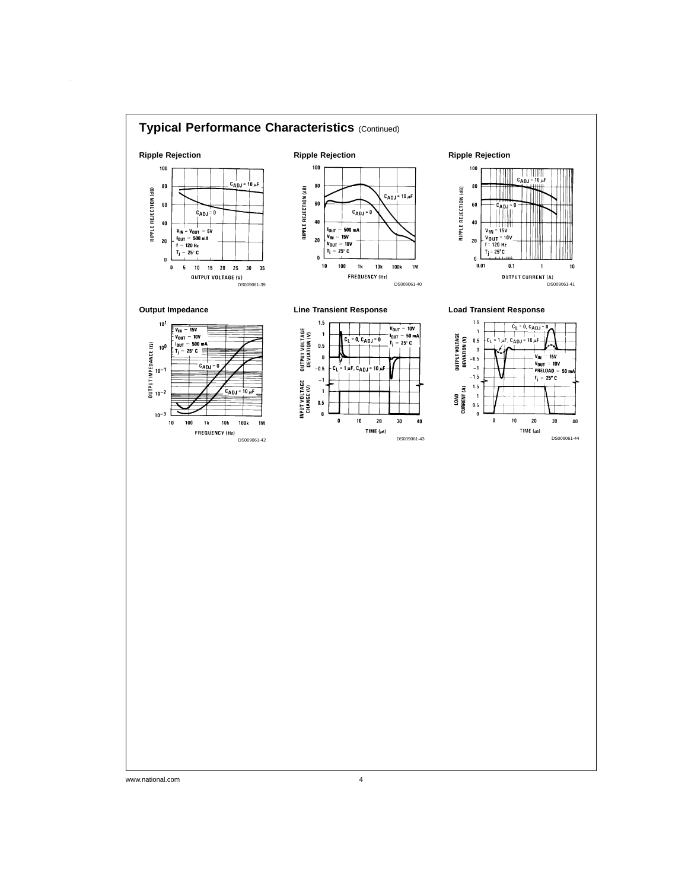

www.national.com 4

 $\hat{\boldsymbol{\beta}}$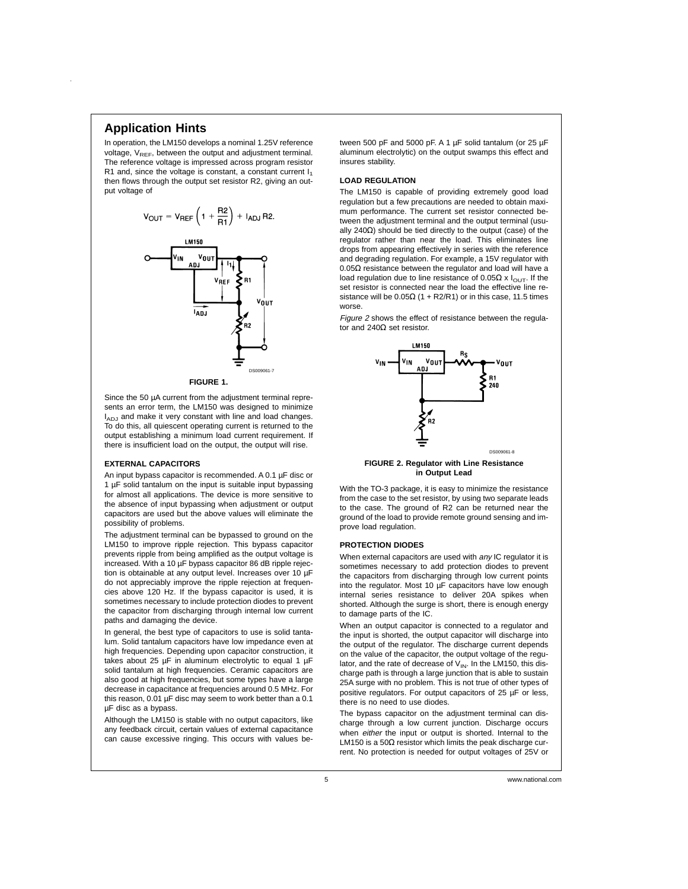## **Application Hints**

In operation, the LM150 develops a nominal 1.25V reference voltage,  $V_{REF}$ , between the output and adjustment terminal. The reference voltage is impressed across program resistor R1 and, since the voltage is constant, a constant current  $I_1$ then flows through the output set resistor R2, giving an output voltage of



**FIGURE 1.**

Since the 50 µA current from the adjustment terminal represents an error term, the LM150 was designed to minimize I<sub>ADJ</sub> and make it very constant with line and load changes. To do this, all quiescent operating current is returned to the output establishing a minimum load current requirement. If there is insufficient load on the output, the output will rise.

#### **EXTERNAL CAPACITORS**

An input bypass capacitor is recommended. A 0.1 µF disc or 1 µF solid tantalum on the input is suitable input bypassing for almost all applications. The device is more sensitive to the absence of input bypassing when adjustment or output capacitors are used but the above values will eliminate the possibility of problems.

The adjustment terminal can be bypassed to ground on the LM150 to improve ripple rejection. This bypass capacitor prevents ripple from being amplified as the output voltage is increased. With a 10 µF bypass capacitor 86 dB ripple rejection is obtainable at any output level. Increases over 10 µF do not appreciably improve the ripple rejection at frequencies above 120 Hz. If the bypass capacitor is used, it is sometimes necessary to include protection diodes to prevent the capacitor from discharging through internal low current paths and damaging the device.

In general, the best type of capacitors to use is solid tantalum. Solid tantalum capacitors have low impedance even at high frequencies. Depending upon capacitor construction, it takes about 25  $\mu$ F in aluminum electrolytic to equal 1  $\mu$ F solid tantalum at high frequencies. Ceramic capacitors are also good at high frequencies, but some types have a large decrease in capacitance at frequencies around 0.5 MHz. For this reason, 0.01 µF disc may seem to work better than a 0.1 µF disc as a bypass.

Although the LM150 is stable with no output capacitors, like any feedback circuit, certain values of external capacitance can cause excessive ringing. This occurs with values between 500 pF and 5000 pF. A 1 µF solid tantalum (or 25 µF aluminum electrolytic) on the output swamps this effect and insures stability.

#### **LOAD REGULATION**

The LM150 is capable of providing extremely good load regulation but a few precautions are needed to obtain maximum performance. The current set resistor connected between the adjustment terminal and the output terminal (usually 240Ω) should be tied directly to the output (case) of the regulator rather than near the load. This eliminates line drops from appearing effectively in series with the reference and degrading regulation. For example, a 15V regulator with 0.05Ω resistance between the regulator and load will have a load regulation due to line resistance of 0.05Ω x  $I<sub>OUT</sub>$ . If the set resistor is connected near the load the effective line resistance will be  $0.05\Omega$  (1 + R2/R1) or in this case, 11.5 times worse.

Figure <sup>2</sup> shows the effect of resistance between the regulator and 240Ω set resistor.



**FIGURE 2. Regulator with Line Resistance in Output Lead**

With the TO-3 package, it is easy to minimize the resistance from the case to the set resistor, by using two separate leads to the case. The ground of R2 can be returned near the ground of the load to provide remote ground sensing and improve load regulation.

#### **PROTECTION DIODES**

When external capacitors are used with any IC regulator it is sometimes necessary to add protection diodes to prevent the capacitors from discharging through low current points into the regulator. Most 10 µF capacitors have low enough internal series resistance to deliver 20A spikes when shorted. Although the surge is short, there is enough energy to damage parts of the IC.

When an output capacitor is connected to a regulator and the input is shorted, the output capacitor will discharge into the output of the regulator. The discharge current depends on the value of the capacitor, the output voltage of the regulator, and the rate of decrease of  $V_{IN}$ . In the LM150, this discharge path is through a large junction that is able to sustain 25A surge with no problem. This is not true of other types of positive regulators. For output capacitors of 25 µF or less, there is no need to use diodes.

The bypass capacitor on the adjustment terminal can discharge through a low current junction. Discharge occurs when either the input or output is shorted. Internal to the LM150 is a 50Ω resistor which limits the peak discharge current. No protection is needed for output voltages of 25V or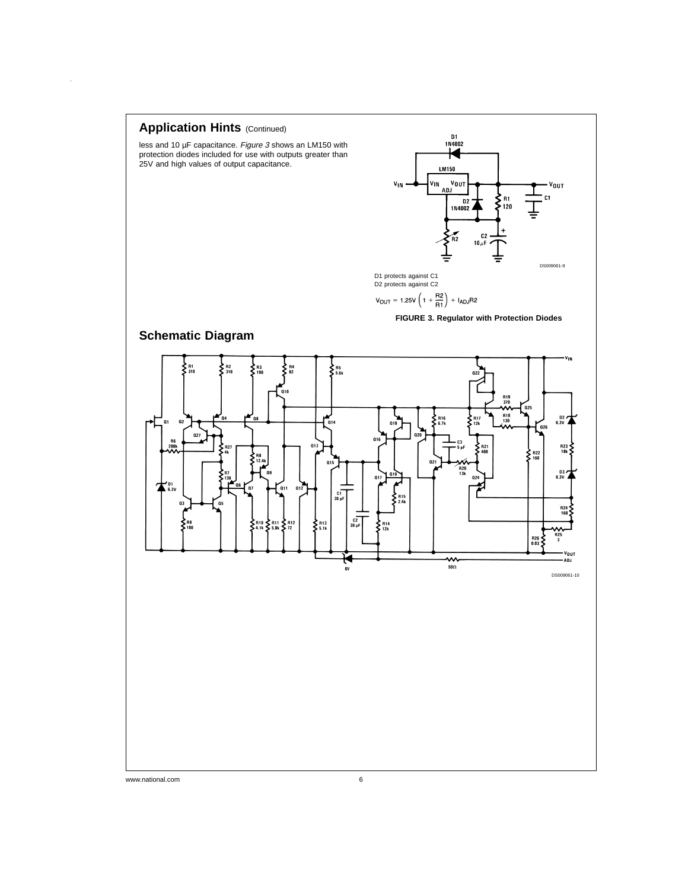

www.national.com 6

 $\hat{\boldsymbol{\beta}}$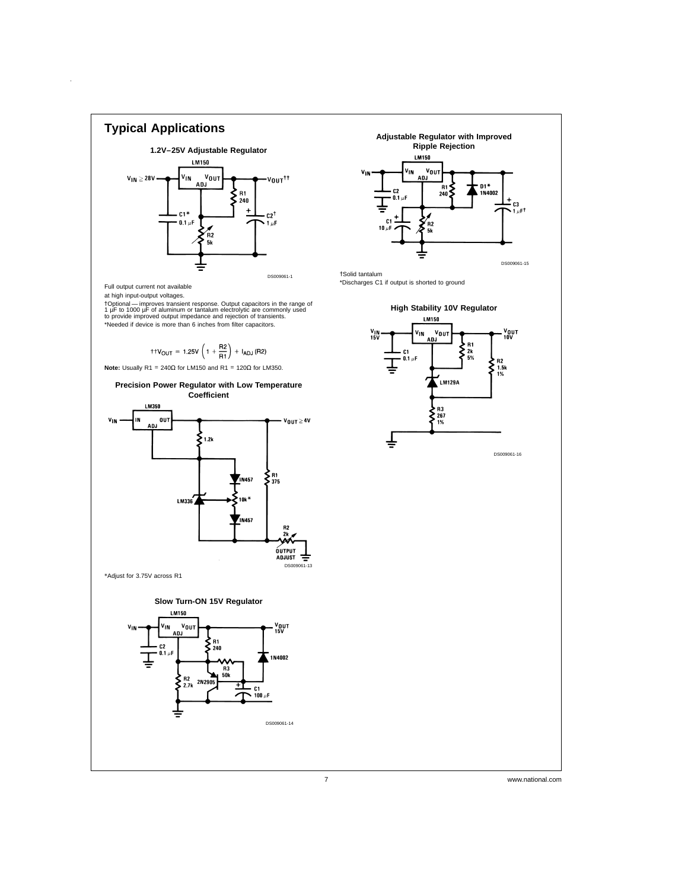

Full output current not available

 $\hat{\boldsymbol{\beta}}$ 

at high input-output voltages.

†Optional — improves transient response. Output capacitors in the range of<br>1 μF to 1000 μF of aluminum or tantalum electrolytic are commonly used<br>to provide improved output impedance and rejection of transients. \*Needed if device is more than 6 inches from filter capacitors.

$$
\text{ttV}_{OUT}=1.25V\left(1+\frac{R2}{R1}\right)+I_{ADJ}(R2)
$$







†Solid tantalum

\*Discharges C1 if output is shorted to ground

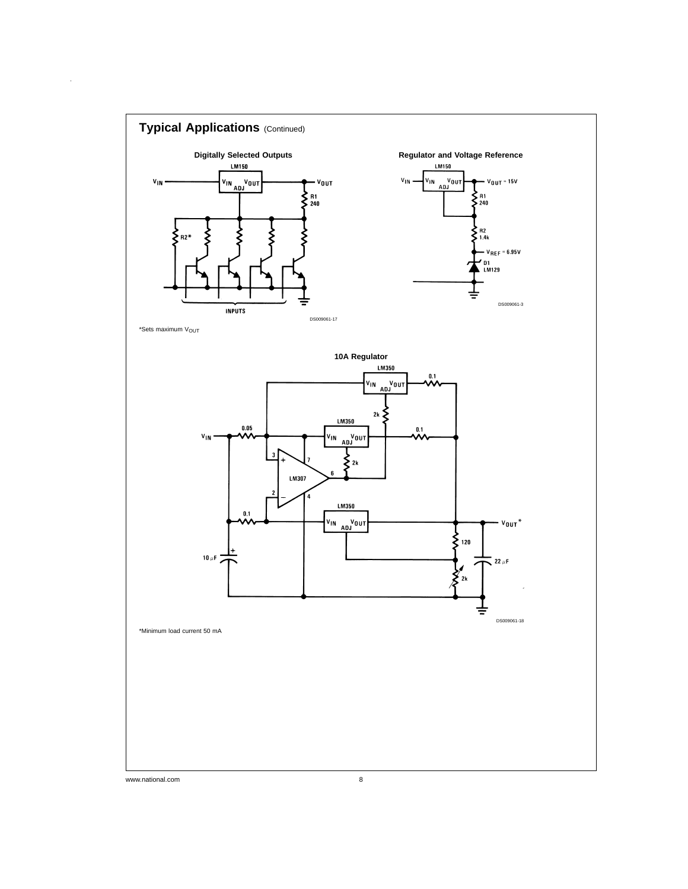

 $\hat{\mathcal{A}}$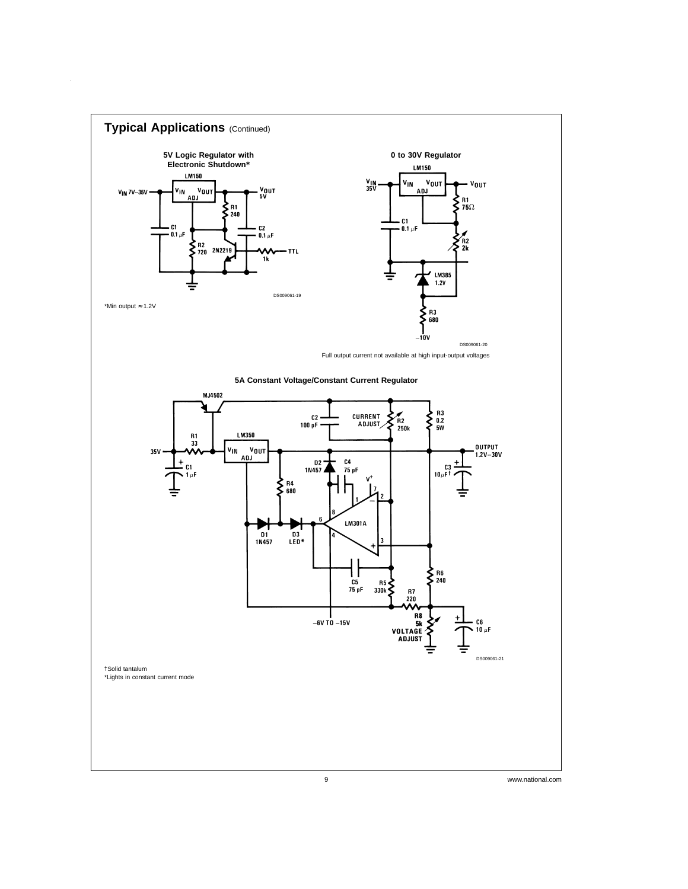

 $\hat{A}$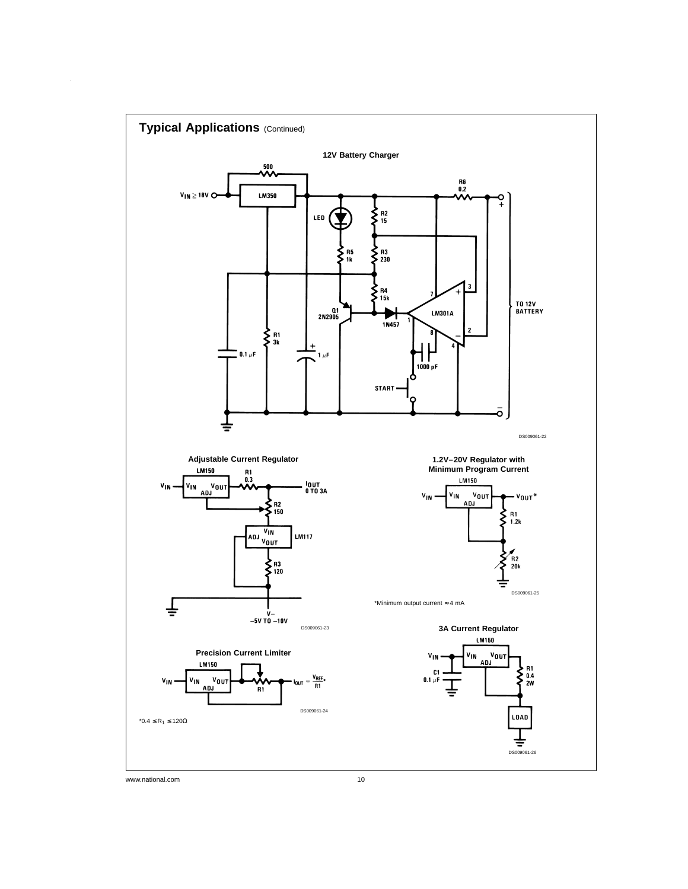

 $\hat{\boldsymbol{\theta}}$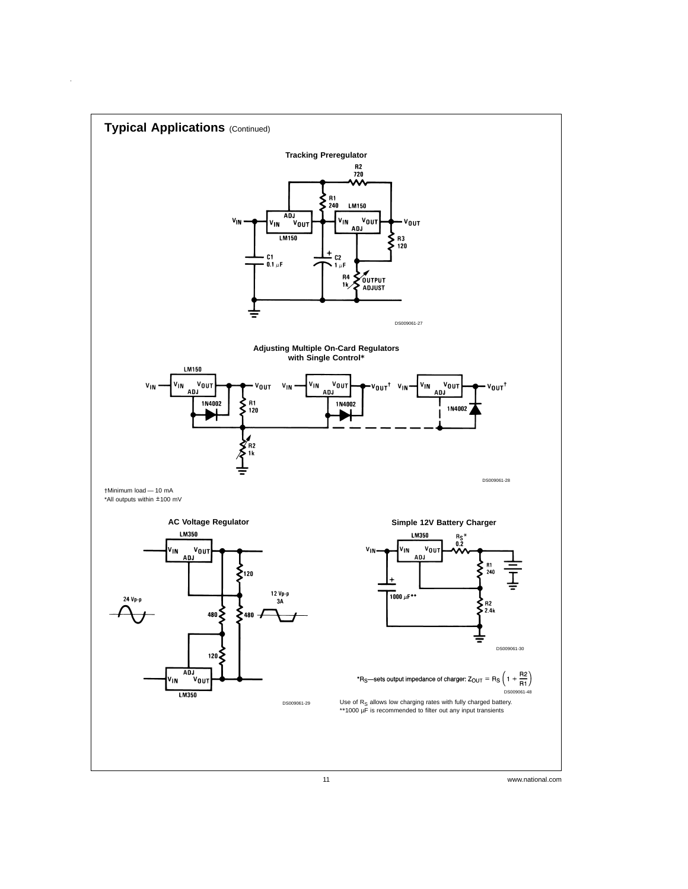

 $\hat{\mathbf{r}}$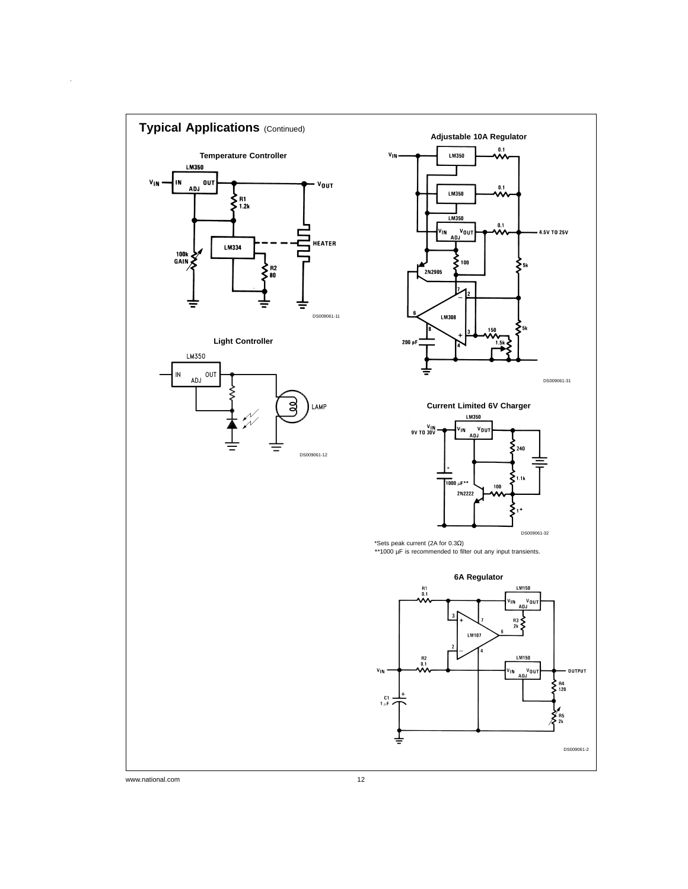

 $\hat{\mathbf{r}}$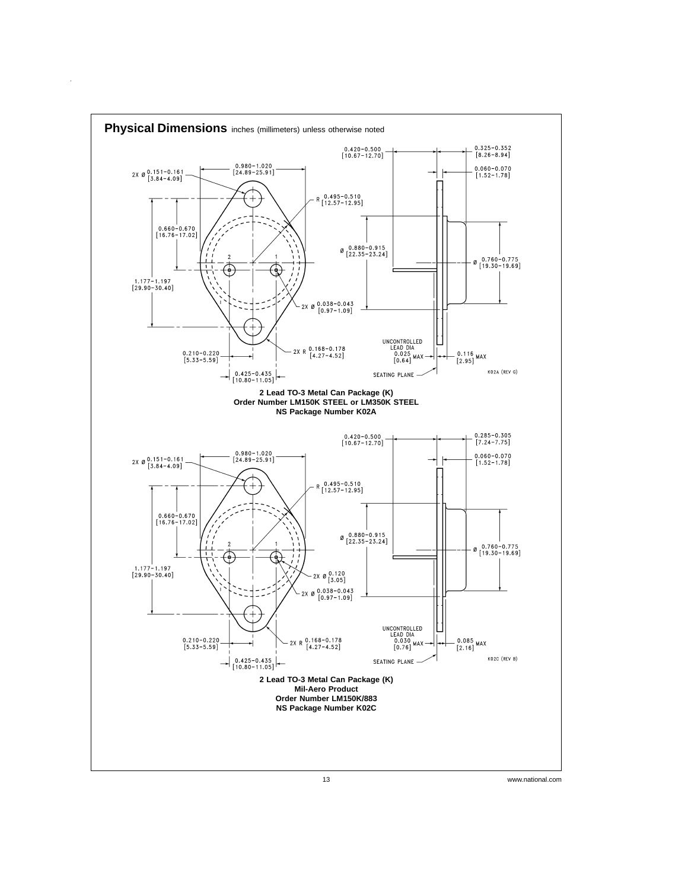

 $\hat{\mathcal{A}}$